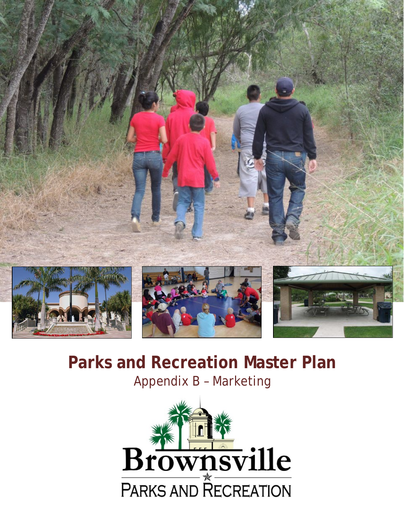

# **Parks and Recreation Master Plan** Appendix B – Marketing

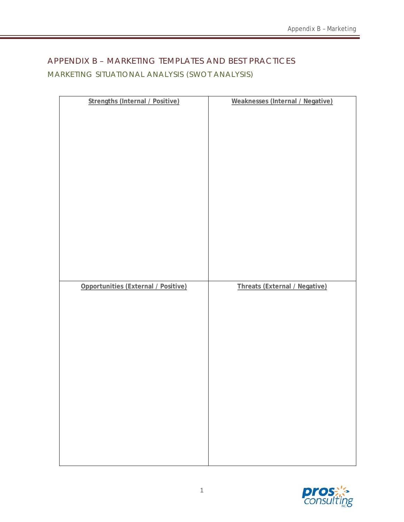## APPENDIX B – MARKETING TEMPLATES AND BEST PRACTICES MARKETING SITUATIONAL ANALYSIS (SWOT ANALYSIS)

| <b>Strengths (Internal / Positive)</b> | Weaknesses (Internal / Negative) |
|----------------------------------------|----------------------------------|
|                                        |                                  |
|                                        |                                  |
|                                        |                                  |
|                                        |                                  |
|                                        |                                  |
|                                        |                                  |
|                                        |                                  |
|                                        |                                  |
|                                        |                                  |
|                                        |                                  |
|                                        |                                  |
|                                        |                                  |
|                                        |                                  |
|                                        |                                  |
|                                        |                                  |
|                                        |                                  |
|                                        |                                  |
|                                        |                                  |
|                                        |                                  |
|                                        |                                  |
|                                        |                                  |
|                                        |                                  |
|                                        |                                  |
|                                        |                                  |
|                                        |                                  |
|                                        |                                  |
|                                        |                                  |
|                                        |                                  |
|                                        |                                  |
|                                        |                                  |
| Opportunities (External / Positive)    | Threats (External / Negative)    |
|                                        |                                  |
|                                        |                                  |
|                                        |                                  |
|                                        |                                  |
|                                        |                                  |
|                                        |                                  |
|                                        |                                  |
|                                        |                                  |
|                                        |                                  |
|                                        |                                  |
|                                        |                                  |
|                                        |                                  |
|                                        |                                  |
|                                        |                                  |
|                                        |                                  |
|                                        |                                  |
|                                        |                                  |
|                                        |                                  |
|                                        |                                  |
|                                        |                                  |
|                                        |                                  |
|                                        |                                  |
|                                        |                                  |
|                                        |                                  |
|                                        |                                  |
|                                        |                                  |

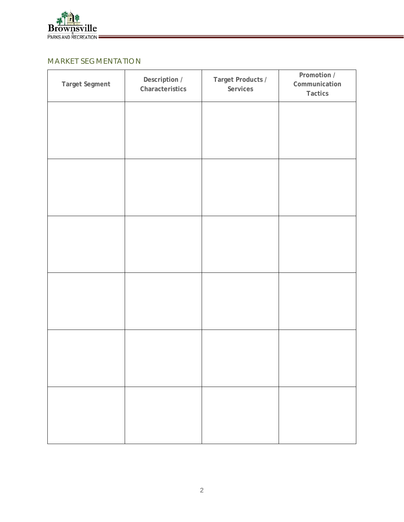

## MARKET SEGMENTATION

| Target Segment | Description /<br>Characteristics | Target Products /<br>Services | Promotion /<br>Communication<br>Tactics |
|----------------|----------------------------------|-------------------------------|-----------------------------------------|
|                |                                  |                               |                                         |
|                |                                  |                               |                                         |
|                |                                  |                               |                                         |
|                |                                  |                               |                                         |
|                |                                  |                               |                                         |
|                |                                  |                               |                                         |
|                |                                  |                               |                                         |
|                |                                  |                               |                                         |
|                |                                  |                               |                                         |
|                |                                  |                               |                                         |
|                |                                  |                               |                                         |
|                |                                  |                               |                                         |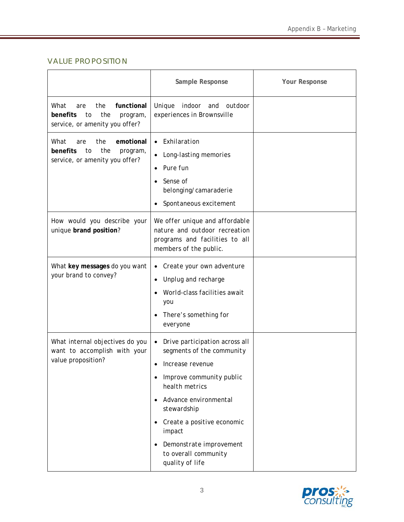## VALUE PROPOSITION

|                                                                                                         | Sample Response                                                                                                                                                                                                                                                                                               | <b>Your Response</b> |
|---------------------------------------------------------------------------------------------------------|---------------------------------------------------------------------------------------------------------------------------------------------------------------------------------------------------------------------------------------------------------------------------------------------------------------|----------------------|
| What<br>the<br>functional<br>are<br>benefits<br>the<br>to<br>program,<br>service, or amenity you offer? | Unique<br>indoor and outdoor<br>experiences in Brownsville                                                                                                                                                                                                                                                    |                      |
| What<br>emotional<br>the<br>are<br>benefits<br>the<br>to<br>program,<br>service, or amenity you offer?  | Exhilaration<br>$\bullet$<br>Long-lasting memories<br>$\bullet$<br>Pure fun<br>Sense of<br>belonging/camaraderie<br>Spontaneous excitement                                                                                                                                                                    |                      |
| How would you describe your<br>unique brand position?                                                   | We offer unique and affordable<br>nature and outdoor recreation<br>programs and facilities to all<br>members of the public.                                                                                                                                                                                   |                      |
| What key messages do you want<br>your brand to convey?                                                  | Create your own adventure<br>$\bullet$<br>Unplug and recharge<br>٠<br>World-class facilities await<br>you<br>There's something for<br>everyone                                                                                                                                                                |                      |
| What internal objectives do you<br>want to accomplish with your<br>value proposition?                   | Drive participation across all<br>$\bullet$<br>segments of the community<br>Increase revenue<br>$\bullet$<br>Improve community public<br>health metrics<br>Advance environmental<br>stewardship<br>Create a positive economic<br>impact<br>Demonstrate improvement<br>to overall community<br>quality of life |                      |

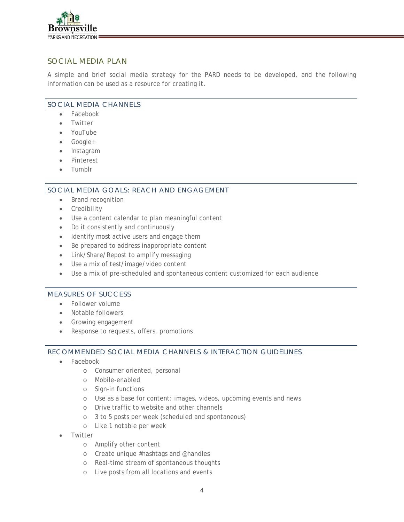

### SOCIAL MEDIA PLAN

A simple and brief social media strategy for the PARD needs to be developed, and the following information can be used as a resource for creating it.

#### SOCIAL MEDIA CHANNELS

- Facebook
- **Twitter**
- YouTube
- Google+
- Instagram
- **Pinterest**
- Tumblr

#### SOCIAL MEDIA GOALS: REACH AND ENGAGEMENT

- Brand recognition
- Credibility
- Use a content calendar to plan meaningful content
- Do it consistently and continuously
- Identify most active users and engage them
- Be prepared to address inappropriate content
- Link/Share/Repost to amplify messaging
- Use a mix of test/image/video content
- Use a mix of pre-scheduled and spontaneous content customized for each audience

#### MEASURES OF SUCCESS

- Follower volume
- Notable followers
- Growing engagement
- Response to requests, offers, promotions

#### RECOMMENDED SOCIAL MEDIA CHANNELS & INTERACTION GUIDELINES

- Facebook
	- o Consumer oriented, personal
	- o Mobile-enabled
	- o Sign-in functions
	- o Use as a base for content: images, videos, upcoming events and news
	- o Drive traffic to website and other channels
	- o 3 to 5 posts per week (scheduled and spontaneous)
	- o Like 1 notable per week
- **Twitter** 
	- o Amplify other content
	- o Create unique #hashtags and @handles
	- o Real-time stream of spontaneous thoughts
	- o Live posts from all locations and events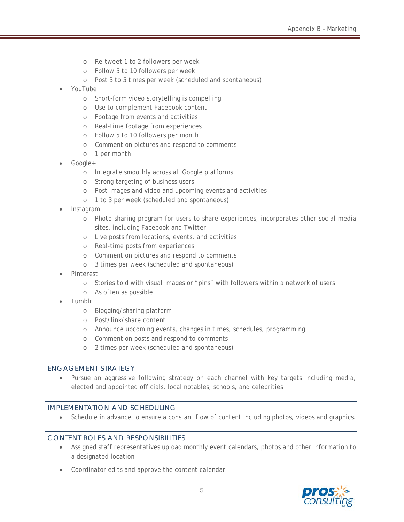- o Re-tweet 1 to 2 followers per week
- o Follow 5 to 10 followers per week
- o Post 3 to 5 times per week (scheduled and spontaneous)
- YouTube
	- o Short-form video storytelling is compelling
	- o Use to complement Facebook content
	- o Footage from events and activities
	- o Real-time footage from experiences
	- o Follow 5 to 10 followers per month
	- o Comment on pictures and respond to comments
	- o 1 per month
- Google+
	- o Integrate smoothly across all Google platforms
	- o Strong targeting of business users
	- o Post images and video and upcoming events and activities
	- o 1 to 3 per week (scheduled and spontaneous)
- Instagram
	- o Photo sharing program for users to share experiences; incorporates other social media sites, including Facebook and Twitter
	- o Live posts from locations, events, and activities
	- o Real-time posts from experiences
	- o Comment on pictures and respond to comments
	- o 3 times per week (scheduled and spontaneous)
- Pinterest
	- o Stories told with visual images or "pins" with followers within a network of users
	- o As often as possible
- Tumblr
	- o Blogging/sharing platform
	- o Post/link/share content
	- o Announce upcoming events, changes in times, schedules, programming
	- o Comment on posts and respond to comments
	- o 2 times per week (scheduled and spontaneous)

#### ENGAGEMENT STRATEGY

• Pursue an aggressive following strategy on each channel with key targets including media, elected and appointed officials, local notables, schools, and celebrities

#### IMPLEMENTATION AND SCHEDULING

Schedule in advance to ensure a constant flow of content including photos, videos and graphics.

#### CONTENT ROLES AND RESPONSIBILITIES

- Assigned staff representatives upload monthly event calendars, photos and other information to a designated location
- Coordinator edits and approve the content calendar